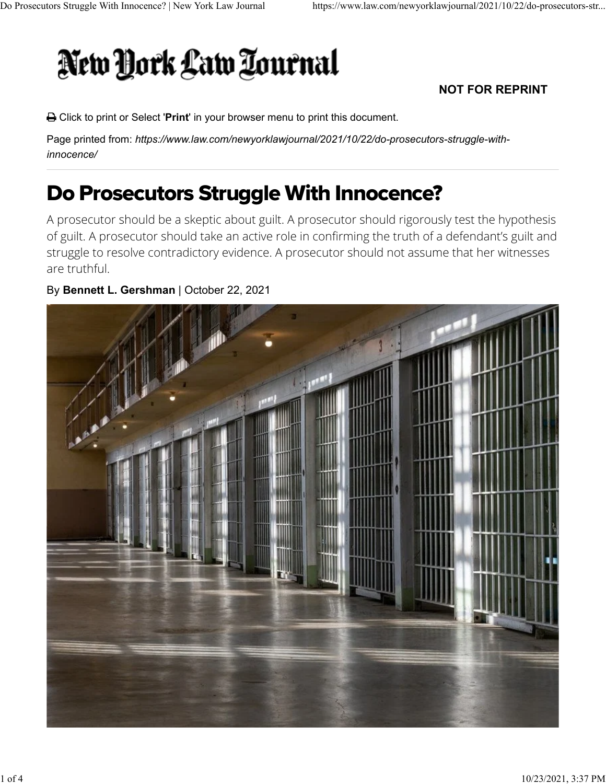# New York Law Tournal

### **NOT FOR REPRINT**

[Click to print](https://www.law.com/newyorklawjournal/2021/10/22/do-prosecutors-struggle-with-innocence/?printer-friendly#) or Select '**Print**' in your browser menu to print this document.

Page printed from: *https://www.law.com/newyorklawjournal/2021/10/22/do-prosecutors-struggle-withinnocence/*

## Do Prosecutors Struggle With Innocence?

A prosecutor should be a skeptic about guilt. A prosecutor should rigorously test the hypothesis of guilt. A prosecutor should take an active role in confirming the truth of a defendant's guilt and struggle to resolve contradictory evidence. A prosecutor should not assume that her witnesses are truthful.

### By **Bennett L. Gershman** | October 22, 2021

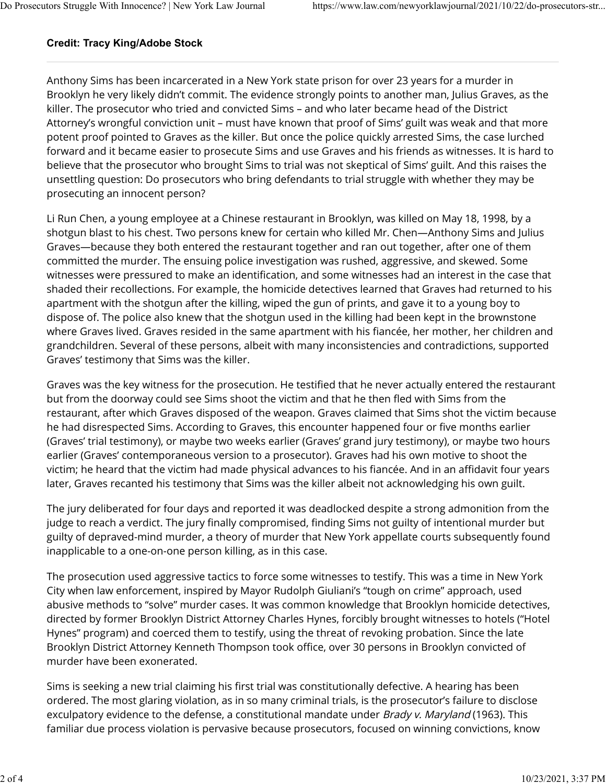#### **Credit: Tracy King/Adobe Stock**

Anthony Sims has been incarcerated in a New York state prison for over 23 years for a murder in Brooklyn he very likely didn't commit. The evidence strongly points to another man, Julius Graves, as the killer. The prosecutor who tried and convicted Sims – and who later became head of the District Attorney's wrongful conviction unit – must have known that proof of Sims' guilt was weak and that more potent proof pointed to Graves as the killer. But once the police quickly arrested Sims, the case lurched forward and it became easier to prosecute Sims and use Graves and his friends as witnesses. It is hard to believe that the prosecutor who brought Sims to trial was not skeptical of Sims' guilt. And this raises the unsettling question: Do prosecutors who bring defendants to trial struggle with whether they may be prosecuting an innocent person?

Li Run Chen, a young employee at a Chinese restaurant in Brooklyn, was killed on May 18, 1998, by a shotgun blast to his chest. Two persons knew for certain who killed Mr. Chen—Anthony Sims and Julius Graves—because they both entered the restaurant together and ran out together, after one of them committed the murder. The ensuing police investigation was rushed, aggressive, and skewed. Some witnesses were pressured to make an identification, and some witnesses had an interest in the case that shaded their recollections. For example, the homicide detectives learned that Graves had returned to his apartment with the shotgun after the killing, wiped the gun of prints, and gave it to a young boy to dispose of. The police also knew that the shotgun used in the killing had been kept in the brownstone where Graves lived. Graves resided in the same apartment with his fiancée, her mother, her children and grandchildren. Several of these persons, albeit with many inconsistencies and contradictions, supported Graves' testimony that Sims was the killer.

Graves was the key witness for the prosecution. He testified that he never actually entered the restaurant but from the doorway could see Sims shoot the victim and that he then fled with Sims from the restaurant, after which Graves disposed of the weapon. Graves claimed that Sims shot the victim because he had disrespected Sims. According to Graves, this encounter happened four or five months earlier (Graves' trial testimony), or maybe two weeks earlier (Graves' grand jury testimony), or maybe two hours earlier (Graves' contemporaneous version to a prosecutor). Graves had his own motive to shoot the victim; he heard that the victim had made physical advances to his fiancée. And in an affidavit four years later, Graves recanted his testimony that Sims was the killer albeit not acknowledging his own guilt.

The jury deliberated for four days and reported it was deadlocked despite a strong admonition from the judge to reach a verdict. The jury finally compromised, finding Sims not guilty of intentional murder but guilty of depraved-mind murder, a theory of murder that New York appellate courts subsequently found inapplicable to a one-on-one person killing, as in this case.

The prosecution used aggressive tactics to force some witnesses to testify. This was a time in New York City when law enforcement, inspired by Mayor Rudolph Giuliani's "tough on crime" approach, used abusive methods to "solve" murder cases. It was common knowledge that Brooklyn homicide detectives, directed by former Brooklyn District Attorney Charles Hynes, forcibly brought witnesses to hotels ("Hotel Hynes" program) and coerced them to testify, using the threat of revoking probation. Since the late Brooklyn District Attorney Kenneth Thompson took office, over 30 persons in Brooklyn convicted of murder have been exonerated.

Sims is seeking a new trial claiming his first trial was constitutionally defective. A hearing has been ordered. The most glaring violation, as in so many criminal trials, is the prosecutor's failure to disclose exculpatory evidence to the defense, a constitutional mandate under Brady v. Maryland (1963). This familiar due process violation is pervasive because prosecutors, focused on winning convictions, know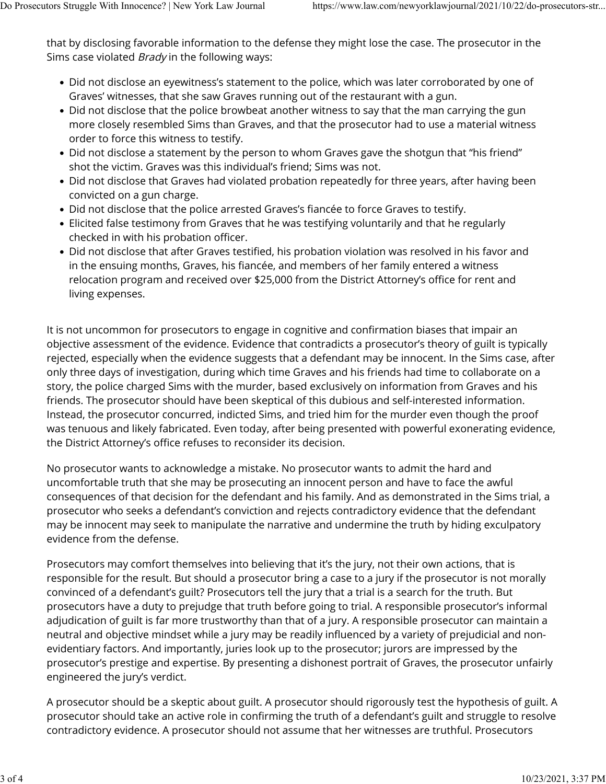that by disclosing favorable information to the defense they might lose the case. The prosecutor in the Sims case violated *Brady* in the following ways:

- Did not disclose an eyewitness's statement to the police, which was later corroborated by one of Graves' witnesses, that she saw Graves running out of the restaurant with a gun.
- Did not disclose that the police browbeat another witness to say that the man carrying the gun more closely resembled Sims than Graves, and that the prosecutor had to use a material witness order to force this witness to testify.
- Did not disclose a statement by the person to whom Graves gave the shotgun that "his friend" shot the victim. Graves was this individual's friend; Sims was not.
- Did not disclose that Graves had violated probation repeatedly for three years, after having been convicted on a gun charge.
- Did not disclose that the police arrested Graves's fiancée to force Graves to testify.
- Elicited false testimony from Graves that he was testifying voluntarily and that he regularly checked in with his probation officer.
- Did not disclose that after Graves testified, his probation violation was resolved in his favor and in the ensuing months, Graves, his fiancée, and members of her family entered a witness relocation program and received over \$25,000 from the District Attorney's office for rent and living expenses.

It is not uncommon for prosecutors to engage in cognitive and confirmation biases that impair an objective assessment of the evidence. Evidence that contradicts a prosecutor's theory of guilt is typically rejected, especially when the evidence suggests that a defendant may be innocent. In the Sims case, after only three days of investigation, during which time Graves and his friends had time to collaborate on a story, the police charged Sims with the murder, based exclusively on information from Graves and his friends. The prosecutor should have been skeptical of this dubious and self-interested information. Instead, the prosecutor concurred, indicted Sims, and tried him for the murder even though the proof was tenuous and likely fabricated. Even today, after being presented with powerful exonerating evidence, the District Attorney's office refuses to reconsider its decision.

No prosecutor wants to acknowledge a mistake. No prosecutor wants to admit the hard and uncomfortable truth that she may be prosecuting an innocent person and have to face the awful consequences of that decision for the defendant and his family. And as demonstrated in the Sims trial, a prosecutor who seeks a defendant's conviction and rejects contradictory evidence that the defendant may be innocent may seek to manipulate the narrative and undermine the truth by hiding exculpatory evidence from the defense.

Prosecutors may comfort themselves into believing that it's the jury, not their own actions, that is responsible for the result. But should a prosecutor bring a case to a jury if the prosecutor is not morally convinced of a defendant's guilt? Prosecutors tell the jury that a trial is a search for the truth. But prosecutors have a duty to prejudge that truth before going to trial. A responsible prosecutor's informal adjudication of guilt is far more trustworthy than that of a jury. A responsible prosecutor can maintain a neutral and objective mindset while a jury may be readily influenced by a variety of prejudicial and nonevidentiary factors. And importantly, juries look up to the prosecutor; jurors are impressed by the prosecutor's prestige and expertise. By presenting a dishonest portrait of Graves, the prosecutor unfairly engineered the jury's verdict.

A prosecutor should be a skeptic about guilt. A prosecutor should rigorously test the hypothesis of guilt. A prosecutor should take an active role in confirming the truth of a defendant's guilt and struggle to resolve contradictory evidence. A prosecutor should not assume that her witnesses are truthful. Prosecutors